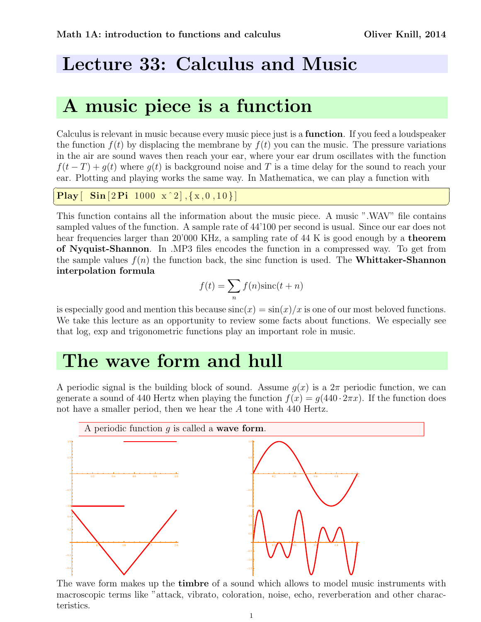# Lecture 33: Calculus and Music

# A music piece is a function

Calculus is relevant in music because every music piece just is a function. If you feed a loudspeaker the function  $f(t)$  by displacing the membrane by  $f(t)$  you can the music. The pressure variations in the air are sound waves then reach your ear, where your ear drum oscillates with the function  $f(t-T) + q(t)$  where  $q(t)$  is background noise and T is a time delay for the sound to reach your ear. Plotting and playing works the same way. In Mathematica, we can play a function with

```
\overline{a}Play \begin{bmatrix} \textbf{Sin} [2 \textbf{Pi} 1000 \text{ x}^2], \{x, 0, 10\} \end{bmatrix}
```
This function contains all the information about the music piece. A music ".WAV" file contains sampled values of the function. A sample rate of 44'100 per second is usual. Since our ear does not hear frequencies larger than 20'000 KHz, a sampling rate of 44 K is good enough by a **theorem** of Nyquist-Shannon. In .MP3 files encodes the function in a compressed way. To get from the sample values  $f(n)$  the function back, the sinc function is used. The **Whittaker-Shannon** interpolation formula

✝ ✆

$$
f(t) = \sum_{n} f(n) \text{sinc}(t+n)
$$

is especially good and mention this because  $sinc(x) = sin(x)/x$  is one of our most beloved functions. We take this lecture as an opportunity to review some facts about functions. We especially see that log, exp and trigonometric functions play an important role in music.

## The wave form and hull

A periodic signal is the building block of sound. Assume  $q(x)$  is a  $2\pi$  periodic function, we can generate a sound of 440 Hertz when playing the function  $f(x) = g(440 \cdot 2\pi x)$ . If the function does not have a smaller period, then we hear the A tone with 440 Hertz.



The wave form makes up the **timbre** of a sound which allows to model music instruments with macroscopic terms like "attack, vibrato, coloration, noise, echo, reverberation and other characteristics.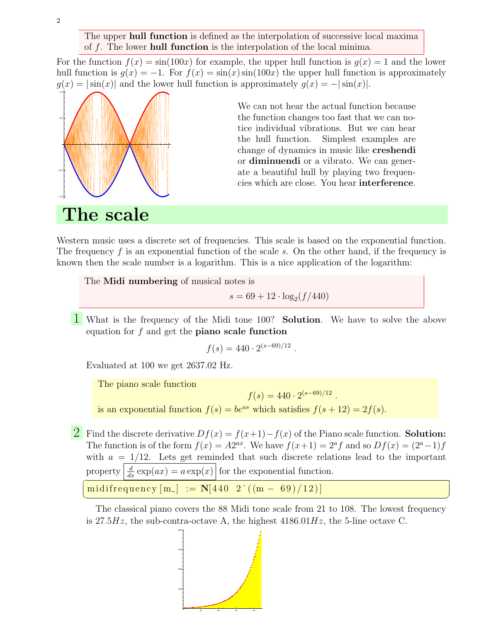The upper **hull function** is defined as the interpolation of successive local maxima of f. The lower hull function is the interpolation of the local minima.

For the function  $f(x) = \sin(100x)$  for example, the upper hull function is  $g(x) = 1$  and the lower hull function is  $g(x) = -1$ . For  $f(x) = \sin(x) \sin(100x)$  the upper hull function is approximately  $g(x) = |\sin(x)|$  and the lower hull function is approximately  $g(x) = -|\sin(x)|$ .



We can not hear the actual function because the function changes too fast that we can notice individual vibrations. But we can hear the hull function. Simplest examples are change of dynamics in music like creshendi or diminuendi or a vibrato. We can generate a beautiful hull by playing two frequencies which are close. You hear interference.

The scale

Western music uses a discrete set of frequencies. This scale is based on the exponential function. The frequency f is an exponential function of the scale s. On the other hand, if the frequency is known then the scale number is a logarithm. This is a nice application of the logarithm:

The **Midi numbering** of musical notes is

 $s = 69 + 12 \cdot \log_2(f/440)$ 

1 What is the frequency of the Midi tone 100? Solution. We have to solve the above equation for  $f$  and get the **piano scale function** 

$$
f(s) = 440 \cdot 2^{(s-69)/12}.
$$

Evaluated at 100 we get 2637.02 Hz.

The piano scale function

 $f(s) = 440 \cdot 2^{(s-69)/12}$ . is an exponential function  $f(s) = be^{as}$  which satisfies  $f(s + 12) = 2f(s)$ .

2 Find the discrete derivative  $Df(x) = f(x+1) - f(x)$  of the Piano scale function. Solution: The function is of the form  $f(x) = A2^{ax}$ . We have  $f(x+1) = 2^a f$  and so  $Df(x) = (2^a - 1)f$ with  $a = 1/12$ . Lets get reminded that such discrete relations lead to the important property  $\frac{d}{dx} \exp(ax) = a \exp(x)$  for the exponential function.

midifrequency  $[m_{-}] := N[440 \ 2^{(m_{-} - 69)/12}]$ ✝ ✆

The classical piano covers the 88 Midi tone scale from 21 to 108. The lowest frequency is 27.5Hz, the sub-contra-octave A, the highest  $4186.01Hz$ , the 5-line octave C.

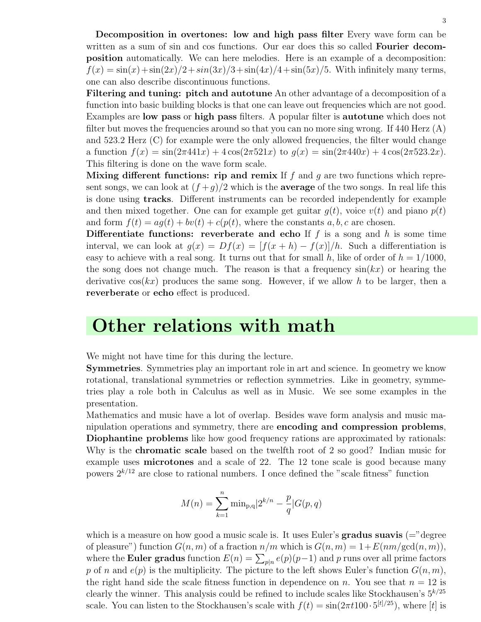Decomposition in overtones: low and high pass filter Every wave form can be written as a sum of sin and cos functions. Our ear does this so called **Fourier decom**position automatically. We can here melodies. Here is an example of a decomposition:  $f(x) = \sin(x) + \sin(2x)/2 + \sin(3x)/3 + \sin(4x)/4 + \sin(5x)/5$ . With infinitely many terms, one can also describe discontinuous functions.

Filtering and tuning: pitch and autotune An other advantage of a decomposition of a function into basic building blocks is that one can leave out frequencies which are not good. Examples are low pass or high pass filters. A popular filter is autotune which does not filter but moves the frequencies around so that you can no more sing wrong. If 440 Herz  $(A)$ and 523.2 Herz (C) for example were the only allowed frequencies, the filter would change a function  $f(x) = \sin(2\pi 441x) + 4\cos(2\pi 521x)$  to  $g(x) = \sin(2\pi 440x) + 4\cos(2\pi 523.2x)$ . This filtering is done on the wave form scale.

Mixing different functions: rip and remix If  $f$  and  $g$  are two functions which represent songs, we can look at  $\frac{f+g}{2}$  which is the **average** of the two songs. In real life this is done using tracks. Different instruments can be recorded independently for example and then mixed together. One can for example get guitar  $g(t)$ , voice  $v(t)$  and piano  $p(t)$ and form  $f(t) = a g(t) + b v(t) + c (p(t),$  where the constants a, b, c are chosen.

Differentiate functions: reverberate and echo If  $f$  is a song and  $h$  is some time interval, we can look at  $g(x) = Df(x) = [f(x+h) - f(x)]/h$ . Such a differentiation is easy to achieve with a real song. It turns out that for small h, like of order of  $h = 1/1000$ , the song does not change much. The reason is that a frequency  $sin(kx)$  or hearing the derivative  $\cos(kx)$  produces the same song. However, if we allow h to be larger, then a reverberate or echo effect is produced.

### Other relations with math

We might not have time for this during the lecture.

Symmetries. Symmetries play an important role in art and science. In geometry we know rotational, translational symmetries or reflection symmetries. Like in geometry, symmetries play a role both in Calculus as well as in Music. We see some examples in the presentation.

Mathematics and music have a lot of overlap. Besides wave form analysis and music manipulation operations and symmetry, there are encoding and compression problems, Diophantine problems like how good frequency rations are approximated by rationals: Why is the **chromatic scale** based on the twelfth root of 2 so good? Indian music for example uses microtones and a scale of 22. The 12 tone scale is good because many powers  $2^{k/12}$  are close to rational numbers. I once defined the "scale fitness" function

$$
M(n) = \sum_{k=1}^{n} \min_{p,q} |2^{k/n} - \frac{p}{q}|G(p,q)|
$$

which is a measure on how good a music scale is. It uses Euler's **gradus suavis**  $(=$ "degree" of pleasure") function  $G(n, m)$  of a fraction  $n/m$  which is  $G(n, m) = 1 + E(nm/\text{gcd}(n, m)),$ where the **Euler gradus** function  $E(n) = \sum_{p|n} e(p)(p-1)$  and p runs over all prime factors p of n and  $e(p)$  is the multiplicity. The picture to the left shows Euler's function  $G(n, m)$ , the right hand side the scale fitness function in dependence on n. You see that  $n = 12$  is clearly the winner. This analysis could be refined to include scales like Stockhausen's  $5^{k/25}$ scale. You can listen to the Stockhausen's scale with  $f(t) = \sin(2\pi t 100 \cdot 5^{[t]/25})$ , where [t] is